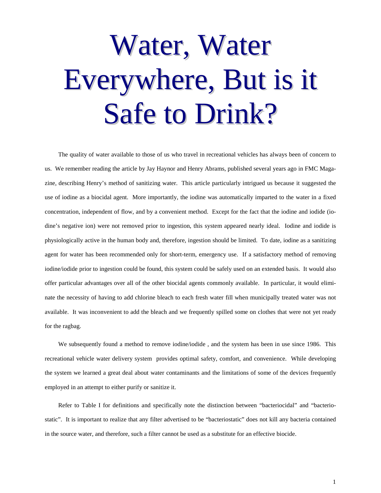## Water, Water Everywhere, But is it Safe to Drink?

The quality of water available to those of us who travel in recreational vehicles has always been of concern to us. We remember reading the article by Jay Haynor and Henry Abrams, published several years ago in FMC Magazine, describing Henry's method of sanitizing water. This article particularly intrigued us because it suggested the use of iodine as a biocidal agent. More importantly, the iodine was automatically imparted to the water in a fixed concentration, independent of flow, and by a convenient method. Except for the fact that the iodine and iodide (iodine's negative ion) were not removed prior to ingestion, this system appeared nearly ideal. Iodine and iodide is physiologically active in the human body and, therefore, ingestion should be limited. To date, iodine as a sanitizing agent for water has been recommended only for short-term, emergency use. If a satisfactory method of removing iodine/iodide prior to ingestion could be found, this system could be safely used on an extended basis. It would also offer particular advantages over all of the other biocidal agents commonly available. In particular, it would eliminate the necessity of having to add chlorine bleach to each fresh water fill when municipally treated water was not available. It was inconvenient to add the bleach and we frequently spilled some on clothes that were not yet ready for the ragbag.

We subsequently found a method to remove iodine/iodide , and the system has been in use since 1986. This recreational vehicle water delivery system provides optimal safety, comfort, and convenience. While developing the system we learned a great deal about water contaminants and the limitations of some of the devices frequently employed in an attempt to either purify or sanitize it.

Refer to Table I for definitions and specifically note the distinction between "bacteriocidal" and "bacteriostatic". It is important to realize that any filter advertised to be "bacteriostatic" does not kill any bacteria contained in the source water, and therefore, such a filter cannot be used as a substitute for an effective biocide.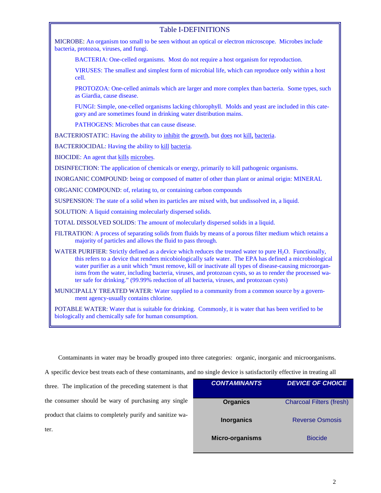## Table I-DEFINITIONS

MICROBE: An organism too small to be seen without an optical or electron microscope. Microbes include bacteria, protozoa, viruses, and fungi.

BACTERIA: One-celled organisms. Most do not require a host organism for reproduction.

VIRUSES: The smallest and simplest form of microbial life, which can reproduce only within a host cell.

PROTOZOA: One-celled animals which are larger and more complex than bacteria. Some types, such as Giardia, cause disease.

FUNGI: Simple, one-celled organisms lacking chlorophyll. Molds and yeast are included in this category and are sometimes found in drinking water distribution mains.

PATHOGENS: Microbes that can cause disease.

BACTERIOSTATIC: Having the ability to inhibit the growth, but does not kill, bacteria.

BACTERIOCIDAL: Having the ability to kill bacteria.

BIOCIDE: An agent that kills microbes.

DISINFECTION: The application of chemicals or energy, primarily to kill pathogenic organisms.

INORGANIC COMPOUND: being or composed of matter of other than plant or animal origin: MINERAL

ORGANIC COMPOUND: of, relating to, or containing carbon compounds

SUSPENSION: The state of a solid when its particles are mixed with, but undissolved in, a liquid.

SOLUTION: A liquid containing molecularly dispersed solids.

TOTAL DISSOLVED SOLIDS: The amount of molecularly dispersed solids in a liquid.

- FILTRATION: A process of separating solids from fluids by means of a porous filter medium which retains a majority of particles and allows the fluid to pass through.
- WATER PURIFIER: Strictly defined as a device which reduces the treated water to pure H<sub>2</sub>O. Functionally, this refers to a device that renders micobiologically safe water. The EPA has defined a microbiological water purifier as a unit which "must remove, kill or inactivate all types of disease-causing microorganisms from the water, including bacteria, viruses, and protozoan cysts, so as to render the processed water safe for drinking." (99.99% reduction of all bacteria, viruses, and protozoan cysts)
- MUNICIPALLY TREATED WATER: Water supplied to a community from a common source by a government agency-usually contains chlorine.

POTABLE WATER: Water that is suitable for drinking. Commonly, it is water that has been verified to be biologically and chemically safe for human consumption.

Contaminants in water may be broadly grouped into three categories: organic, inorganic and microorganisms.

A specific device best treats each of these contaminants, and no single device is satisfactorily effective in treating all

three. The implication of the preceding statement is that the consumer should be wary of purchasing any single product that claims to completely purify and sanitize water.

| <b>CONTAMINANTS</b> | <b>DEVICE OF CHOICE</b>         |
|---------------------|---------------------------------|
| <b>Organics</b>     | <b>Charcoal Filters (fresh)</b> |
| <b>Inorganics</b>   | <b>Reverse Osmosis</b>          |
| Micro-organisms     | <b>Biocide</b>                  |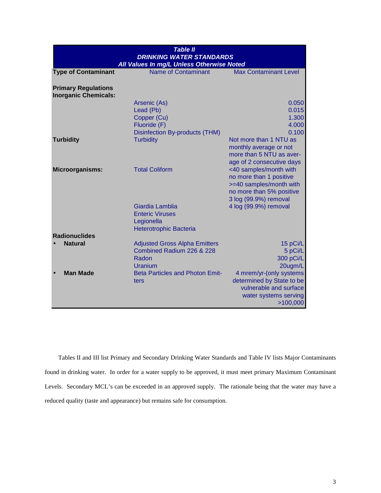| <b>Name of Contaminant</b> | <b>Max Contaminant Level</b>                                                                                                                                                                                                                                                                                                                                                                                                                                          |
|----------------------------|-----------------------------------------------------------------------------------------------------------------------------------------------------------------------------------------------------------------------------------------------------------------------------------------------------------------------------------------------------------------------------------------------------------------------------------------------------------------------|
|                            |                                                                                                                                                                                                                                                                                                                                                                                                                                                                       |
|                            | 0.050                                                                                                                                                                                                                                                                                                                                                                                                                                                                 |
|                            | 0.015                                                                                                                                                                                                                                                                                                                                                                                                                                                                 |
|                            | 1.300<br>4.000                                                                                                                                                                                                                                                                                                                                                                                                                                                        |
|                            | 0.100                                                                                                                                                                                                                                                                                                                                                                                                                                                                 |
|                            | Not more than 1 NTU as                                                                                                                                                                                                                                                                                                                                                                                                                                                |
|                            | monthly average or not                                                                                                                                                                                                                                                                                                                                                                                                                                                |
|                            | more than 5 NTU as aver-                                                                                                                                                                                                                                                                                                                                                                                                                                              |
|                            | age of 2 consecutive days                                                                                                                                                                                                                                                                                                                                                                                                                                             |
|                            | <40 samples/month with                                                                                                                                                                                                                                                                                                                                                                                                                                                |
|                            | no more than 1 positive<br>>=40 samples/month with                                                                                                                                                                                                                                                                                                                                                                                                                    |
|                            | no more than 5% positive                                                                                                                                                                                                                                                                                                                                                                                                                                              |
|                            | 3 log (99.9%) removal                                                                                                                                                                                                                                                                                                                                                                                                                                                 |
|                            | 4 log (99.9%) removal                                                                                                                                                                                                                                                                                                                                                                                                                                                 |
|                            |                                                                                                                                                                                                                                                                                                                                                                                                                                                                       |
|                            |                                                                                                                                                                                                                                                                                                                                                                                                                                                                       |
|                            |                                                                                                                                                                                                                                                                                                                                                                                                                                                                       |
|                            | 15 pCi/L                                                                                                                                                                                                                                                                                                                                                                                                                                                              |
|                            | 5 pCi/L                                                                                                                                                                                                                                                                                                                                                                                                                                                               |
|                            | 300 pCi/L                                                                                                                                                                                                                                                                                                                                                                                                                                                             |
|                            | 20ugm/L                                                                                                                                                                                                                                                                                                                                                                                                                                                               |
|                            | 4 mrem/yr-(only systems                                                                                                                                                                                                                                                                                                                                                                                                                                               |
|                            | determined by State to be                                                                                                                                                                                                                                                                                                                                                                                                                                             |
|                            | vulnerable and surface<br>water systems serving                                                                                                                                                                                                                                                                                                                                                                                                                       |
|                            | >100,000                                                                                                                                                                                                                                                                                                                                                                                                                                                              |
|                            | <b>DRINKING WATER STANDARDS</b><br>All Values In mg/L Unless Otherwise Noted<br>Arsenic (As)<br>Lead (Pb)<br>Copper (Cu)<br>Fluoride (F)<br>Disinfection By-products (THM)<br><b>Turbidity</b><br><b>Total Coliform</b><br>Giardia Lamblia<br><b>Enteric Viruses</b><br>Legionella<br><b>Heterotrophic Bacteria</b><br><b>Adjusted Gross Alpha Emitters</b><br>Combined Radium 226 & 228<br>Radon<br><b>Uranium</b><br><b>Beta Particles and Photon Emit-</b><br>ters |

Tables II and III list Primary and Secondary Drinking Water Standards and Table IV lists Major Contaminants found in drinking water. In order for a water supply to be approved, it must meet primary Maximum Contaminant Levels. Secondary MCL's can be exceeded in an approved supply. The rationale being that the water may have a reduced quality (taste and appearance) but remains safe for consumption.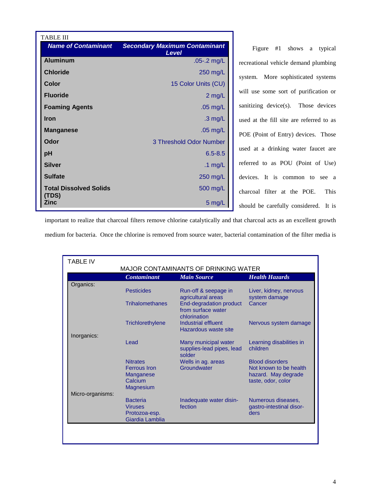| <b>TABLE III</b>                       |                                               |
|----------------------------------------|-----------------------------------------------|
| <b>Name of Contaminant</b>             | <b>Secondary Maximum Contaminant</b><br>Level |
| <b>Aluminum</b>                        | $.05 - 2$ mg/L                                |
| <b>Chloride</b>                        | 250 mg/L                                      |
| Color                                  | 15 Color Units (CU)                           |
| <b>Fluoride</b>                        | $2$ mg/L                                      |
| <b>Foaming Agents</b>                  | $.05$ mg/L                                    |
| <b>Iron</b>                            | $.3 \text{ mg/L}$                             |
| <b>Manganese</b>                       | $.05$ mg/L                                    |
| Odor                                   | 3 Threshold Odor Number                       |
| рH                                     | $6.5 - 8.5$                                   |
| <b>Silver</b>                          | .1 $mg/L$                                     |
| <b>Sulfate</b>                         | 250 mg/L                                      |
| <b>Total Dissolved Solids</b><br>(TDS) | 500 mg/L                                      |
| Zinc                                   | 5 mg/L                                        |

Figure #1 shows a typical recreational vehicle demand plumbing system. More sophisticated systems will use some sort of purification or sanitizing device(s). Those devices used at the fill site are referred to as POE (Point of Entry) devices. Those used at a drinking water faucet are referred to as POU (Point of Use) devices. It is common to see a charcoal filter at the POE. This should be carefully considered. It is

important to realize that charcoal filters remove chlorine catalytically and that charcoal acts as an excellent growth medium for bacteria. Once the chlorine is removed from source water, bacterial contamination of the filter media is

| TABLE IV         |                                                                       |                                                               |                                                                     |
|------------------|-----------------------------------------------------------------------|---------------------------------------------------------------|---------------------------------------------------------------------|
|                  |                                                                       | MAJOR CONTAMINANTS OF DRINKING WATER                          |                                                                     |
|                  | <b>Contaminant</b>                                                    | <b>Main Source</b>                                            | <b>Health Hazards</b>                                               |
| Organics:        | <b>Pesticides</b>                                                     | Run-off & seepage in<br>agricultural areas                    | Liver, kidney, nervous<br>system damage                             |
|                  | <b>Trihalomethanes</b>                                                | End-degradation product<br>from surface water<br>chlorination | Cancer                                                              |
|                  | Trichlorethylene                                                      | Industrial effluent<br>Hazardous waste site                   | Nervous system damage                                               |
| Inorganics:      |                                                                       |                                                               |                                                                     |
|                  | Lead                                                                  | Many municipal water<br>supplies-lead pipes, lead<br>solder   | Learning disabilities in<br>children                                |
|                  | <b>Nitrates</b>                                                       | Wells in ag. areas                                            | <b>Blood disorders</b>                                              |
|                  | <b>Ferrous</b> Iron<br>Manganese<br>Calcium<br><b>Magnesium</b>       | Groundwater                                                   | Not known to be health<br>hazard. May degrade<br>taste, odor, color |
| Micro-organisms: |                                                                       |                                                               |                                                                     |
|                  | <b>Bacteria</b><br><b>Viruses</b><br>Protozoa-esp.<br>Giardia Lamblia | Inadequate water disin-<br>fection                            | Numerous diseases,<br>gastro-intestinal disor-<br>ders              |
|                  |                                                                       |                                                               |                                                                     |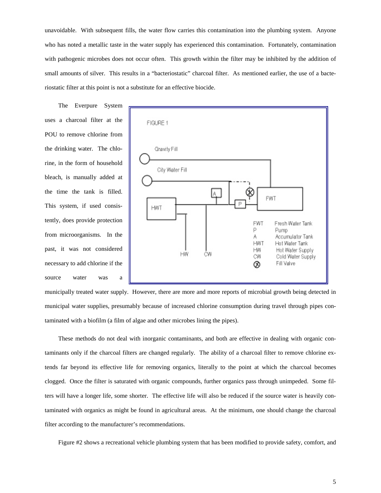unavoidable. With subsequent fills, the water flow carries this contamination into the plumbing system. Anyone who has noted a metallic taste in the water supply has experienced this contamination. Fortunately, contamination with pathogenic microbes does not occur often. This growth within the filter may be inhibited by the addition of small amounts of silver. This results in a "bacteriostatic" charcoal filter. As mentioned earlier, the use of a bacteriostatic filter at this point is not a substitute for an effective biocide.

The Everpure System uses a charcoal filter at the POU to remove chlorine from the drinking water. The chlorine, in the form of household bleach, is manually added at the time the tank is filled. This system, if used consistently, does provide protection from microorganisms. In the past, it was not considered necessary to add chlorine if the source water was a



municipally treated water supply. However, there are more and more reports of microbial growth being detected in municipal water supplies, presumably because of increased chlorine consumption during travel through pipes contaminated with a biofilm (a film of algae and other microbes lining the pipes).

These methods do not deal with inorganic contaminants, and both are effective in dealing with organic contaminants only if the charcoal filters are changed regularly. The ability of a charcoal filter to remove chlorine extends far beyond its effective life for removing organics, literally to the point at which the charcoal becomes clogged. Once the filter is saturated with organic compounds, further organics pass through unimpeded. Some filters will have a longer life, some shorter. The effective life will also be reduced if the source water is heavily contaminated with organics as might be found in agricultural areas. At the minimum, one should change the charcoal filter according to the manufacturer's recommendations.

Figure #2 shows a recreational vehicle plumbing system that has been modified to provide safety, comfort, and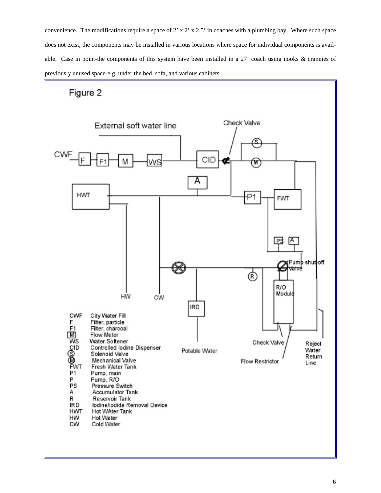convenience. The modifications require a space of 2' x 2' x 2.5' in coaches with a plumbing bay. Where such space does not exist, the components may be installed in various locations where space for individual components is available. Case in point-the components of this system have been installed in a 27' coach using nooks & crannies of previously unused space-e.g. under the bed, sofa, and various cabinets.

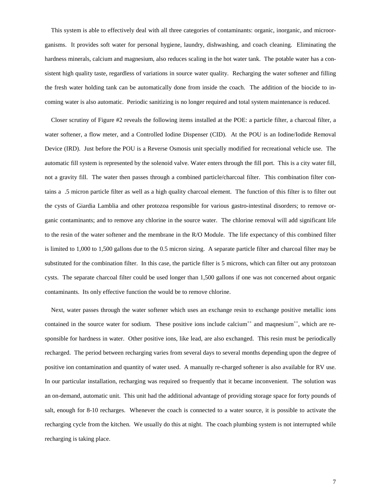This system is able to effectively deal with all three categories of contaminants: organic, inorganic, and microorganisms. It provides soft water for personal hygiene, laundry, dishwashing, and coach cleaning. Eliminating the hardness minerals, calcium and magnesium, also reduces scaling in the hot water tank. The potable water has a consistent high quality taste, regardless of variations in source water quality. Recharging the water softener and filling the fresh water holding tank can be automatically done from inside the coach. The addition of the biocide to incoming water is also automatic. Periodic sanitizing is no longer required and total system maintenance is reduced.

Closer scrutiny of Figure #2 reveals the following items installed at the POE: a particle filter, a charcoal filter, a water softener, a flow meter, and a Controlled Iodine Dispenser (CID). At the POU is an Iodine/Iodide Removal Device (IRD). Just before the POU is a Reverse Osmosis unit specially modified for recreational vehicle use. The automatic fill system is represented by the solenoid valve. Water enters through the fill port. This is a city water fill, not a gravity fill. The water then passes through a combined particle/charcoal filter. This combination filter contains a .5 micron particle filter as well as a high quality charcoal element. The function of this filter is to filter out the cysts of Giardia Lamblia and other protozoa responsible for various gastro-intestinal disorders; to remove organic contaminants; and to remove any chlorine in the source water. The chlorine removal will add significant life to the resin of the water softener and the membrane in the R/O Module. The life expectancy of this combined filter is limited to 1,000 to 1,500 gallons due to the 0.5 micron sizing. A separate particle filter and charcoal filter may be substituted for the combination filter. In this case, the particle filter is 5 microns, which can filter out any protozoan cysts. The separate charcoal filter could be used longer than 1,500 gallons if one was not concerned about organic contaminants. Its only effective function the would be to remove chlorine.

Next, water passes through the water softener which uses an exchange resin to exchange positive metallic ions contained in the source water for sodium. These positive ions include calcium<sup>++</sup> and maqnesium<sup>++</sup>, which are responsible for hardness in water. Other positive ions, like lead, are also exchanged. This resin must be periodically recharged. The period between recharging varies from several days to several months depending upon the degree of positive ion contamination and quantity of water used. A manually re-charged softener is also available for RV use. In our particular installation, recharging was required so frequently that it became inconvenient. The solution was an on-demand, automatic unit. This unit had the additional advantage of providing storage space for forty pounds of salt, enough for 8-10 recharges. Whenever the coach is connected to a water source, it is possible to activate the recharging cycle from the kitchen. We usually do this at night. The coach plumbing system is not interrupted while recharging is taking place.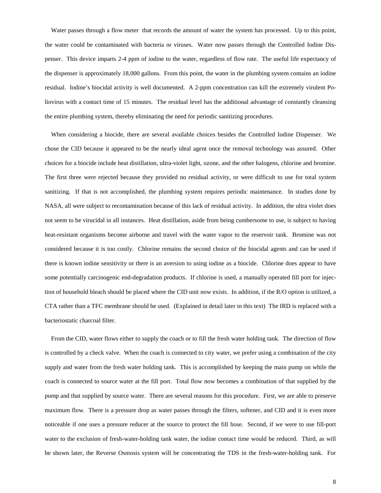Water passes through a flow meter that records the amount of water the system has processed. Up to this point, the water could be contaminated with bacteria or viruses. Water now passes through the Controlled Iodine Dispenser. This device imparts 2-4 ppm of iodine to the water, regardless of flow rate. The useful life expectancy of the dispenser is approximately 18,000 gallons. From this point, the water in the plumbing system contains an iodine residual. Iodine's biocidal activity is well documented. A 2-ppm concentration can kill the extremely virulent Poliovirus with a contact time of 15 minutes. The residual level has the additional advantage of constantly cleansing the entire plumbing system, thereby eliminating the need for periodic sanitizing procedures.

When considering a biocide, there are several available choices besides the Controlled Iodine Dispenser. We chose the CID because it appeared to be the nearly ideal agent once the removal technology was assured. Other choices for a biocide include heat distillation, ultra-violet light, ozone, and the other halogens, chlorine and bromine. The first three were rejected because they provided no residual activity, or were difficult to use for total system sanitizing. If that is not accomplished, the plumbing system requires periodic maintenance. In studies done by NASA, all were subject to recontamination because of this lack of residual activity. In addition, the ultra violet does not seem to be virucidal in all instances. Heat distillation, aside from being cumbersome to use, is subject to having heat-resistant organisms become airborne and travel with the water vapor to the reservoir tank. Bromine was not considered because it is too costly. Chlorine remains the second choice of the biocidal agents and can be used if there is known iodine sensitivity or there is an aversion to using iodine as a biocide. Chlorine does appear to have some potentially carcinogenic end-degradation products. If chlorine is used, a manually operated fill port for injection of household bleach should be placed where the CID unit now exists. In addition, if the R/O option is utilized, a CTA rather than a TFC membrane should be used. (Explained in detail later in this text) The IRD is replaced with a bacteriostatic charcoal filter.

From the CID, water flows either to supply the coach or to fill the fresh water holding tank. The direction of flow is controlled by a check valve. When the coach is connected to city water, we prefer using a combination of the city supply and water from the fresh water holding tank. This is accomplished by keeping the main pump on while the coach is connected to source water at the fill port. Total flow now becomes a combination of that supplied by the pump and that supplied by source water. There are several reasons for this procedure. First, we are able to preserve maximum flow. There is a pressure drop as water passes through the filters, softener, and CID and it is even more noticeable if one uses a pressure reducer at the source to protect the fill hose. Second, if we were to use fill-port water to the exclusion of fresh-water-holding tank water, the iodine contact time would be reduced. Third, as will be shown later, the Reverse Osmosis system will be concentrating the TDS in the fresh-water-holding tank. For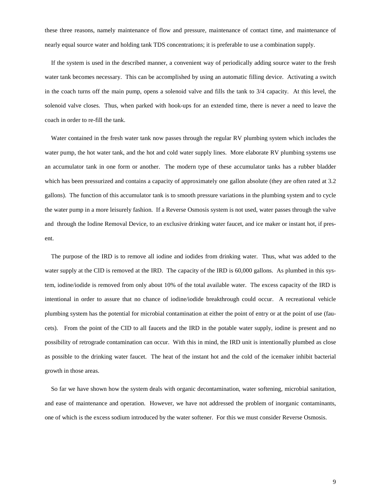these three reasons, namely maintenance of flow and pressure, maintenance of contact time, and maintenance of nearly equal source water and holding tank TDS concentrations; it is preferable to use a combination supply.

If the system is used in the described manner, a convenient way of periodically adding source water to the fresh water tank becomes necessary. This can be accomplished by using an automatic filling device. Activating a switch in the coach turns off the main pump, opens a solenoid valve and fills the tank to 3/4 capacity. At this level, the solenoid valve closes. Thus, when parked with hook-ups for an extended time, there is never a need to leave the coach in order to re-fill the tank.

Water contained in the fresh water tank now passes through the regular RV plumbing system which includes the water pump, the hot water tank, and the hot and cold water supply lines. More elaborate RV plumbing systems use an accumulator tank in one form or another. The modern type of these accumulator tanks has a rubber bladder which has been pressurized and contains a capacity of approximately one gallon absolute (they are often rated at 3.2 gallons). The function of this accumulator tank is to smooth pressure variations in the plumbing system and to cycle the water pump in a more leisurely fashion. If a Reverse Osmosis system is not used, water passes through the valve and through the Iodine Removal Device, to an exclusive drinking water faucet, and ice maker or instant hot, if present.

The purpose of the IRD is to remove all iodine and iodides from drinking water. Thus, what was added to the water supply at the CID is removed at the IRD. The capacity of the IRD is 60,000 gallons. As plumbed in this system, iodine/iodide is removed from only about 10% of the total available water. The excess capacity of the IRD is intentional in order to assure that no chance of iodine/iodide breakthrough could occur. A recreational vehicle plumbing system has the potential for microbial contamination at either the point of entry or at the point of use (faucets). From the point of the CID to all faucets and the IRD in the potable water supply, iodine is present and no possibility of retrograde contamination can occur. With this in mind, the IRD unit is intentionally plumbed as close as possible to the drinking water faucet. The heat of the instant hot and the cold of the icemaker inhibit bacterial growth in those areas.

So far we have shown how the system deals with organic decontamination, water softening, microbial sanitation, and ease of maintenance and operation. However, we have not addressed the problem of inorganic contaminants, one of which is the excess sodium introduced by the water softener. For this we must consider Reverse Osmosis.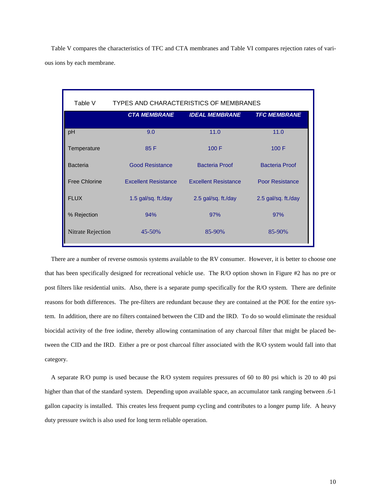Table V compares the characteristics of TFC and CTA membranes and Table VI compares rejection rates of various ions by each membrane.

| Table V              | TYPES AND CHARACTERISTICS OF MEMBRANES |                             |                        |  |
|----------------------|----------------------------------------|-----------------------------|------------------------|--|
|                      | <b>CTA MEMBRANE</b>                    | <b>IDEAL MEMBRANE</b>       | <b>TFC MEMBRANE</b>    |  |
| pH                   | 9.0                                    | 11.0                        | 11.0                   |  |
| Temperature          | 85 F                                   | 100 F                       | 100 F                  |  |
| <b>Bacteria</b>      | <b>Good Resistance</b>                 | Bacteria Proof              | <b>Bacteria Proof</b>  |  |
| <b>Free Chlorine</b> | <b>Excellent Resistance</b>            | <b>Excellent Resistance</b> | <b>Poor Resistance</b> |  |
| <b>FLUX</b>          | 1.5 gal/sq. ft./day                    | 2.5 gal/sq. ft./day         | 2.5 gal/sq. ft./day    |  |
| % Rejection          | 94%                                    | 97%                         | 97%                    |  |
| Nitrate Rejection    | 45-50%                                 | 85-90%                      | 85-90%                 |  |

There are a number of reverse osmosis systems available to the RV consumer. However, it is better to choose one that has been specifically designed for recreational vehicle use. The R/O option shown in Figure #2 has no pre or post filters like residential units. Also, there is a separate pump specifically for the R/O system. There are definite reasons for both differences. The pre-filters are redundant because they are contained at the POE for the entire system. In addition, there are no filters contained between the CID and the IRD. To do so would eliminate the residual biocidal activity of the free iodine, thereby allowing contamination of any charcoal filter that might be placed between the CID and the IRD. Either a pre or post charcoal filter associated with the R/O system would fall into that category.

A separate R/O pump is used because the R/O system requires pressures of 60 to 80 psi which is 20 to 40 psi higher than that of the standard system. Depending upon available space, an accumulator tank ranging between .6-1 gallon capacity is installed. This creates less frequent pump cycling and contributes to a longer pump life. A heavy duty pressure switch is also used for long term reliable operation.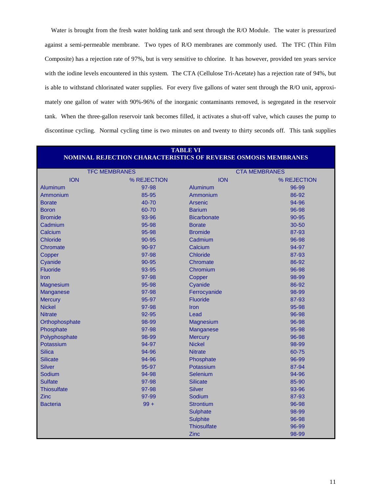Water is brought from the fresh water holding tank and sent through the R/O Module. The water is pressurized against a semi-permeable membrane. Two types of R/O membranes are commonly used. The TFC (Thin Film Composite) has a rejection rate of 97%, but is very sensitive to chlorine. It has however, provided ten years service with the iodine levels encountered in this system. The CTA (Cellulose Tri-Acetate) has a rejection rate of 94%, but is able to withstand chlorinated water supplies. For every five gallons of water sent through the R/O unit, approximately one gallon of water with 90%-96% of the inorganic contaminants removed, is segregated in the reservoir tank. When the three-gallon reservoir tank becomes filled, it activates a shut-off valve, which causes the pump to discontinue cycling. Normal cycling time is two minutes on and twenty to thirty seconds off. This tank supplies

| <b>TABLE VI</b><br><b>NOMINAL REJECTION CHARACTERISTICS OF REVERSE OSMOSIS MEMBRANES</b> |             |                      |             |
|------------------------------------------------------------------------------------------|-------------|----------------------|-------------|
| <b>TFC MEMBRANES</b>                                                                     |             | <b>CTA MEMBRANES</b> |             |
| <b>ION</b>                                                                               | % REJECTION | <b>ION</b>           | % REJECTION |
| Aluminum                                                                                 | 97-98       | Aluminum             | 96-99       |
| Ammonium                                                                                 | 85-95       | Ammonium             | 86-92       |
| <b>Borate</b>                                                                            | 40-70       | Arsenic              | 94-96       |
| <b>Boron</b>                                                                             | 60-70       | <b>Barium</b>        | 96-98       |
| <b>Bromide</b>                                                                           | 93-96       | <b>Bicarbonate</b>   | $90 - 95$   |
| Cadmium                                                                                  | 95-98       | <b>Borate</b>        | $30 - 50$   |
| Calcium                                                                                  | 95-98       | <b>Bromide</b>       | 87-93       |
| <b>Chloride</b>                                                                          | $90 - 95$   | Cadmium              | 96-98       |
| Chromate                                                                                 | 90-97       | Calcium              | 94-97       |
| Copper                                                                                   | 97-98       | <b>Chloride</b>      | 87-93       |

Cyanide 90-95 Chromate 86-92 Fluoride 93-95 Chromium 96-98 Iron 97-98 Copper 98-99 Magnesium 86-92 and 95-98 Cyanide 86-92 Manganese 97-98 Ferrocyanide 98-99 Mercury 95-97 Fluoride 87-93 Nickel 97-98 Iron 95-98 Nitrate 92-95 Lead 96-98 Orthophosphate 98-99 Magnesium 96-98 Magnesium 96-98 Phosphate 95-98 Manganese 97-98 Manganese 95-98 Polyphosphate 98-99 Mercury 96-98 Mercury 96-98 Potassium 94-97 Nickel 98-99 Silica 94-96 Nitrate 60-75

| <b>Silicate</b>    | 94-96  | Phosphate        | 96-99 |
|--------------------|--------|------------------|-------|
| <b>Silver</b>      | 95-97  | Potassium        | 87-94 |
| <b>Sodium</b>      | 94-98  | Selenium         | 94-96 |
| <b>Sulfate</b>     | 97-98  | <b>Silicate</b>  | 85-90 |
| <b>Thiosulfate</b> | 97-98  | Silver           | 93-96 |
| Zinc               | 97-99  | Sodium           | 87-93 |
| <b>Bacteria</b>    | $99 +$ | <b>Strontium</b> | 96-98 |

Sulphate 98-99 Sulphite 96-98 Thiosulfate 96-99 Zinc 98-99